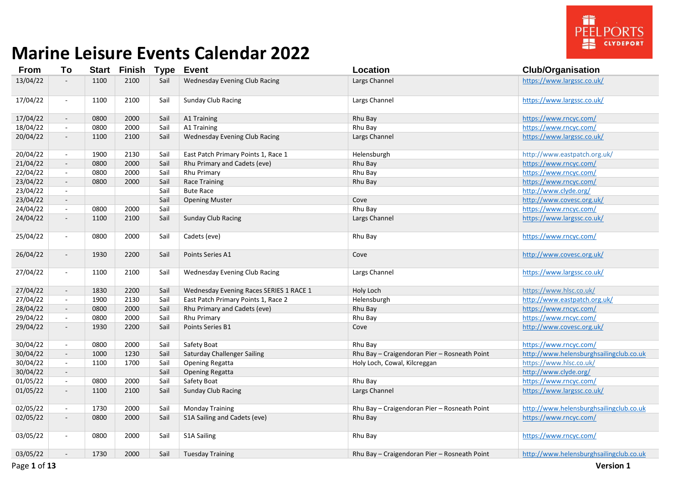

| <b>From</b> | To                       | <b>Start</b> | <b>Finish Type Event</b> |      |                                         | Location                                     | <b>Club/Organisation</b>                |
|-------------|--------------------------|--------------|--------------------------|------|-----------------------------------------|----------------------------------------------|-----------------------------------------|
| 13/04/22    | $\blacksquare$           | 1100         | 2100                     | Sail | <b>Wednesday Evening Club Racing</b>    | Largs Channel                                | https://www.largssc.co.uk/              |
| 17/04/22    | $\blacksquare$           | 1100         | 2100                     | Sail | <b>Sunday Club Racing</b>               | Largs Channel                                | https://www.largssc.co.uk/              |
| 17/04/22    | $\overline{\phantom{a}}$ | 0800         | 2000                     | Sail | A1 Training                             | Rhu Bay                                      | https://www.rncyc.com/                  |
| 18/04/22    | $\sim$                   | 0800         | 2000                     | Sail | A1 Training                             | Rhu Bay                                      | https://www.rncyc.com/                  |
| 20/04/22    | $\overline{\phantom{a}}$ | 1100         | 2100                     | Sail | <b>Wednesday Evening Club Racing</b>    | Largs Channel                                | https://www.largssc.co.uk/              |
| 20/04/22    | $\sim$                   | 1900         | 2130                     | Sail | East Patch Primary Points 1, Race 1     | Helensburgh                                  | http://www.eastpatch.org.uk/            |
| 21/04/22    | $\overline{\phantom{a}}$ | 0800         | 2000                     | Sail | Rhu Primary and Cadets (eve)            | Rhu Bay                                      | https://www.rncyc.com/                  |
| 22/04/22    | $\sim$                   | 0800         | 2000                     | Sail | Rhu Primary                             | Rhu Bay                                      | https://www.rncyc.com/                  |
| 23/04/22    | $\overline{\phantom{a}}$ | 0800         | 2000                     | Sail | <b>Race Training</b>                    | Rhu Bay                                      | https://www.rncyc.com/                  |
| 23/04/22    | $\sim$                   |              |                          | Sail | <b>Bute Race</b>                        |                                              | http://www.clyde.org/                   |
| 23/04/22    | $\blacksquare$           |              |                          | Sail | <b>Opening Muster</b>                   | Cove                                         | http://www.covesc.org.uk/               |
| 24/04/22    | $\sim$                   | 0800         | 2000                     | Sail |                                         | Rhu Bay                                      | https://www.rncyc.com/                  |
| 24/04/22    | $\overline{\phantom{a}}$ | 1100         | 2100                     | Sail | <b>Sunday Club Racing</b>               | Largs Channel                                | https://www.largssc.co.uk/              |
| 25/04/22    | $\overline{\phantom{a}}$ | 0800         | 2000                     | Sail | Cadets (eve)                            | Rhu Bay                                      | https://www.rncyc.com/                  |
| 26/04/22    | $\overline{\phantom{a}}$ | 1930         | 2200                     | Sail | Points Series A1                        | Cove                                         | http://www.covesc.org.uk/               |
| 27/04/22    | $\blacksquare$           | 1100         | 2100                     | Sail | <b>Wednesday Evening Club Racing</b>    | Largs Channel                                | https://www.largssc.co.uk/              |
| 27/04/22    | $\sim$                   | 1830         | 2200                     | Sail | Wednesday Evening Races SERIES 1 RACE 1 | Holy Loch                                    | https://www.hlsc.co.uk/                 |
| 27/04/22    | $\sim$                   | 1900         | 2130                     | Sail | East Patch Primary Points 1, Race 2     | Helensburgh                                  | http://www.eastpatch.org.uk/            |
| 28/04/22    | $\sim$                   | 0800         | 2000                     | Sail | Rhu Primary and Cadets (eve)            | Rhu Bay                                      | https://www.rncyc.com/                  |
| 29/04/22    | $\sim$                   | 0800         | 2000                     | Sail | Rhu Primary                             | Rhu Bay                                      | https://www.rncyc.com/                  |
| 29/04/22    | $\blacksquare$           | 1930         | 2200                     | Sail | Points Series B1                        | Cove                                         | http://www.covesc.org.uk/               |
| 30/04/22    | $\sim$                   | 0800         | 2000                     | Sail | Safety Boat                             | Rhu Bay                                      | https://www.rncyc.com/                  |
| 30/04/22    | $\sim$                   | 1000         | 1230                     | Sail | <b>Saturday Challenger Sailing</b>      | Rhu Bay - Craigendoran Pier - Rosneath Point | http://www.helensburghsailingclub.co.uk |
| 30/04/22    | $\sim$                   | 1100         | 1700                     | Sail | Opening Regatta                         | Holy Loch, Cowal, Kilcreggan                 | https://www.hlsc.co.uk/                 |
| 30/04/22    | $\blacksquare$           |              |                          | Sail | Opening Regatta                         |                                              | http://www.clyde.org/                   |
| 01/05/22    | $\blacksquare$           | 0800         | 2000                     | Sail | Safety Boat                             | Rhu Bay                                      | https://www.rncyc.com/                  |
| 01/05/22    | $\sim$                   | 1100         | 2100                     | Sail | <b>Sunday Club Racing</b>               | Largs Channel                                | https://www.largssc.co.uk/              |
| 02/05/22    | $\sim$                   | 1730         | 2000                     | Sail | <b>Monday Training</b>                  | Rhu Bay - Craigendoran Pier - Rosneath Point | http://www.helensburghsailingclub.co.uk |
| 02/05/22    | $\overline{\phantom{a}}$ | 0800         | 2000                     | Sail | S1A Sailing and Cadets (eve)            | Rhu Bay                                      | https://www.rncyc.com/                  |
| 03/05/22    | $\sim$                   | 0800         | 2000                     | Sail | <b>S1A Sailing</b>                      | Rhu Bay                                      | https://www.rncyc.com/                  |
| 03/05/22    | $\overline{\phantom{a}}$ | 1730         | 2000                     | Sail | <b>Tuesday Training</b>                 | Rhu Bay - Craigendoran Pier - Rosneath Point | http://www.helensburghsailingclub.co.uk |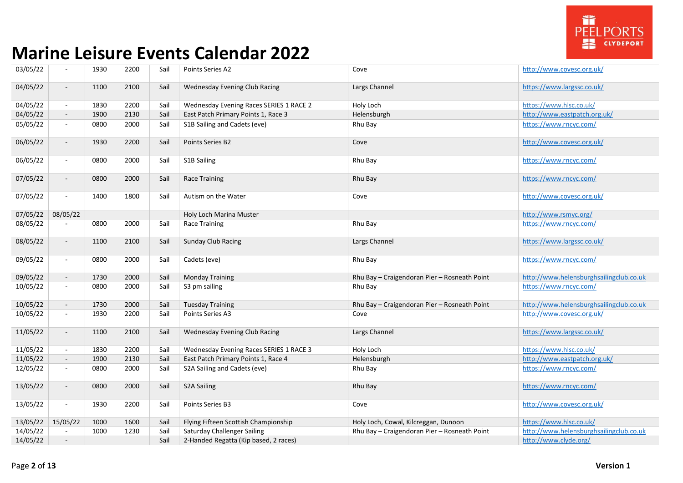

| 03/05/22 | $\blacksquare$              | 1930 | 2200 | Sail | Points Series A2                        | Cove                                         | http://www.covesc.org.uk/               |
|----------|-----------------------------|------|------|------|-----------------------------------------|----------------------------------------------|-----------------------------------------|
| 04/05/22 | $\overline{\phantom{a}}$    | 1100 | 2100 | Sail | Wednesday Evening Club Racing           | Largs Channel                                | https://www.largssc.co.uk/              |
| 04/05/22 | $\sim$                      | 1830 | 2200 | Sail | Wednesday Evening Races SERIES 1 RACE 2 | Holy Loch                                    | https://www.hlsc.co.uk/                 |
| 04/05/22 | $\sim$                      | 1900 | 2130 | Sail | East Patch Primary Points 1, Race 3     | Helensburgh                                  | http://www.eastpatch.org.uk/            |
| 05/05/22 | $\sim$                      | 0800 | 2000 | Sail | S1B Sailing and Cadets (eve)            | Rhu Bay                                      | https://www.rncyc.com/                  |
| 06/05/22 | $\mathcal{L}_{\mathcal{A}}$ | 1930 | 2200 | Sail | Points Series B2                        | Cove                                         | http://www.covesc.org.uk/               |
| 06/05/22 | $\sim$                      | 0800 | 2000 | Sail | S1B Sailing                             | Rhu Bay                                      | https://www.rncyc.com/                  |
| 07/05/22 | $\blacksquare$              | 0800 | 2000 | Sail | Race Training                           | Rhu Bay                                      | https://www.rncyc.com/                  |
| 07/05/22 | $\mathcal{L}_{\mathcal{A}}$ | 1400 | 1800 | Sail | Autism on the Water                     | Cove                                         | http://www.covesc.org.uk/               |
| 07/05/22 | 08/05/22                    |      |      |      | Holy Loch Marina Muster                 |                                              | http://www.rsmyc.org/                   |
| 08/05/22 |                             | 0800 | 2000 | Sail | <b>Race Training</b>                    | Rhu Bay                                      | https://www.rncyc.com/                  |
| 08/05/22 | $\sim$                      | 1100 | 2100 | Sail | Sunday Club Racing                      | Largs Channel                                | https://www.largssc.co.uk/              |
| 09/05/22 | $\blacksquare$              | 0800 | 2000 | Sail | Cadets (eve)                            | Rhu Bay                                      | https://www.rncyc.com/                  |
| 09/05/22 | $\overline{\phantom{a}}$    | 1730 | 2000 | Sail | <b>Monday Training</b>                  | Rhu Bay - Craigendoran Pier - Rosneath Point | http://www.helensburghsailingclub.co.uk |
| 10/05/22 | $\blacksquare$              | 0800 | 2000 | Sail | S3 pm sailing                           | Rhu Bay                                      | https://www.rncyc.com/                  |
| 10/05/22 | $\sim$                      | 1730 | 2000 | Sail | <b>Tuesday Training</b>                 | Rhu Bay - Craigendoran Pier - Rosneath Point | http://www.helensburghsailingclub.co.uk |
| 10/05/22 | $\sim$                      | 1930 | 2200 | Sail | Points Series A3                        | Cove                                         | http://www.covesc.org.uk/               |
| 11/05/22 | $\blacksquare$              | 1100 | 2100 | Sail | <b>Wednesday Evening Club Racing</b>    | Largs Channel                                | https://www.largssc.co.uk/              |
| 11/05/22 | $\sim$                      | 1830 | 2200 | Sail | Wednesday Evening Races SERIES 1 RACE 3 | Holy Loch                                    | https://www.hlsc.co.uk/                 |
| 11/05/22 | $\sim$                      | 1900 | 2130 | Sail | East Patch Primary Points 1, Race 4     | Helensburgh                                  | http://www.eastpatch.org.uk/            |
| 12/05/22 | $\blacksquare$              | 0800 | 2000 | Sail | S2A Sailing and Cadets (eve)            | Rhu Bay                                      | https://www.rncyc.com/                  |
| 13/05/22 | $\sim$                      | 0800 | 2000 | Sail | <b>S2A Sailing</b>                      | Rhu Bay                                      | https://www.rncyc.com/                  |
| 13/05/22 | $\blacksquare$              | 1930 | 2200 | Sail | Points Series B3                        | Cove                                         | http://www.covesc.org.uk/               |
| 13/05/22 | 15/05/22                    | 1000 | 1600 | Sail | Flying Fifteen Scottish Championship    | Holy Loch, Cowal, Kilcreggan, Dunoon         | https://www.hlsc.co.uk/                 |
| 14/05/22 | $\mathbf{r}$                | 1000 | 1230 | Sail | <b>Saturday Challenger Sailing</b>      | Rhu Bay - Craigendoran Pier - Rosneath Point | http://www.helensburghsailingclub.co.uk |
| 14/05/22 |                             |      |      | Sail | 2-Handed Regatta (Kip based, 2 races)   |                                              | http://www.clyde.org/                   |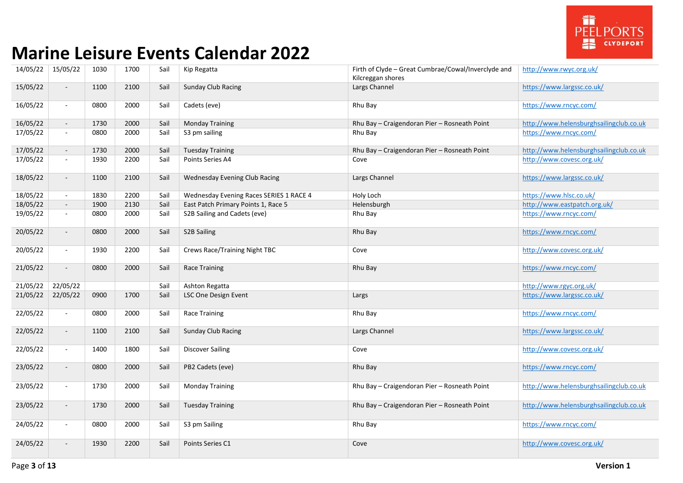

| 14/05/22 | 15/05/22                    | 1030 | 1700 | Sail | Kip Regatta                             | Firth of Clyde - Great Cumbrae/Cowal/Inverclyde and<br>Kilcreggan shores | http://www.rwyc.org.uk/                 |
|----------|-----------------------------|------|------|------|-----------------------------------------|--------------------------------------------------------------------------|-----------------------------------------|
| 15/05/22 | $\overline{\phantom{a}}$    | 1100 | 2100 | Sail | <b>Sunday Club Racing</b>               | Largs Channel                                                            | https://www.largssc.co.uk/              |
| 16/05/22 | $\sim$                      | 0800 | 2000 | Sail | Cadets (eve)                            | Rhu Bay                                                                  | https://www.rncyc.com/                  |
| 16/05/22 | $\sim$                      | 1730 | 2000 | Sail | <b>Monday Training</b>                  | Rhu Bay - Craigendoran Pier - Rosneath Point                             | http://www.helensburghsailingclub.co.uk |
| 17/05/22 | $\sim$                      | 0800 | 2000 | Sail | S3 pm sailing                           | Rhu Bay                                                                  | https://www.rncyc.com/                  |
| 17/05/22 | $\sim$                      | 1730 | 2000 | Sail | <b>Tuesday Training</b>                 | Rhu Bay - Craigendoran Pier - Rosneath Point                             | http://www.helensburghsailingclub.co.uk |
| 17/05/22 | $\blacksquare$              | 1930 | 2200 | Sail | Points Series A4                        | Cove                                                                     | http://www.covesc.org.uk/               |
| 18/05/22 | $\sim$                      | 1100 | 2100 | Sail | <b>Wednesday Evening Club Racing</b>    | Largs Channel                                                            | https://www.largssc.co.uk/              |
| 18/05/22 | $\sim$                      | 1830 | 2200 | Sail | Wednesday Evening Races SERIES 1 RACE 4 | Holy Loch                                                                | https://www.hlsc.co.uk/                 |
| 18/05/22 | $\sim$                      | 1900 | 2130 | Sail | East Patch Primary Points 1, Race 5     | Helensburgh                                                              | http://www.eastpatch.org.uk/            |
| 19/05/22 | $\sim$                      | 0800 | 2000 | Sail | S2B Sailing and Cadets (eve)            | Rhu Bay                                                                  | https://www.rncyc.com/                  |
| 20/05/22 | $\blacksquare$              | 0800 | 2000 | Sail | S2B Sailing                             | Rhu Bay                                                                  | https://www.rncyc.com/                  |
| 20/05/22 | $\sim$                      | 1930 | 2200 | Sail | Crews Race/Training Night TBC           | Cove                                                                     | http://www.covesc.org.uk/               |
| 21/05/22 | $\mathcal{L}_{\mathcal{A}}$ | 0800 | 2000 | Sail | <b>Race Training</b>                    | Rhu Bay                                                                  | https://www.rncyc.com/                  |
| 21/05/22 | 22/05/22                    |      |      | Sail | Ashton Regatta                          |                                                                          | http://www.rgyc.org.uk/                 |
| 21/05/22 | 22/05/22                    | 0900 | 1700 | Sail | LSC One Design Event                    | Largs                                                                    | https://www.largssc.co.uk/              |
| 22/05/22 | $\sim$                      | 0800 | 2000 | Sail | Race Training                           | Rhu Bay                                                                  | https://www.rncyc.com/                  |
| 22/05/22 | $\sim$                      | 1100 | 2100 | Sail | <b>Sunday Club Racing</b>               | Largs Channel                                                            | https://www.largssc.co.uk/              |
| 22/05/22 | $\sim$                      | 1400 | 1800 | Sail | <b>Discover Sailing</b>                 | Cove                                                                     | http://www.covesc.org.uk/               |
| 23/05/22 | $\overline{\phantom{a}}$    | 0800 | 2000 | Sail | PB2 Cadets (eve)                        | Rhu Bay                                                                  | https://www.rncyc.com/                  |
| 23/05/22 | $\mathcal{L}_{\mathcal{A}}$ | 1730 | 2000 | Sail | <b>Monday Training</b>                  | Rhu Bay - Craigendoran Pier - Rosneath Point                             | http://www.helensburghsailingclub.co.uk |
| 23/05/22 | $\sim$                      | 1730 | 2000 | Sail | <b>Tuesday Training</b>                 | Rhu Bay - Craigendoran Pier - Rosneath Point                             | http://www.helensburghsailingclub.co.uk |
| 24/05/22 | $\sim$                      | 0800 | 2000 | Sail | S3 pm Sailing                           | Rhu Bay                                                                  | https://www.rncyc.com/                  |
| 24/05/22 | $\overline{\phantom{a}}$    | 1930 | 2200 | Sail | Points Series C1                        | Cove                                                                     | http://www.covesc.org.uk/               |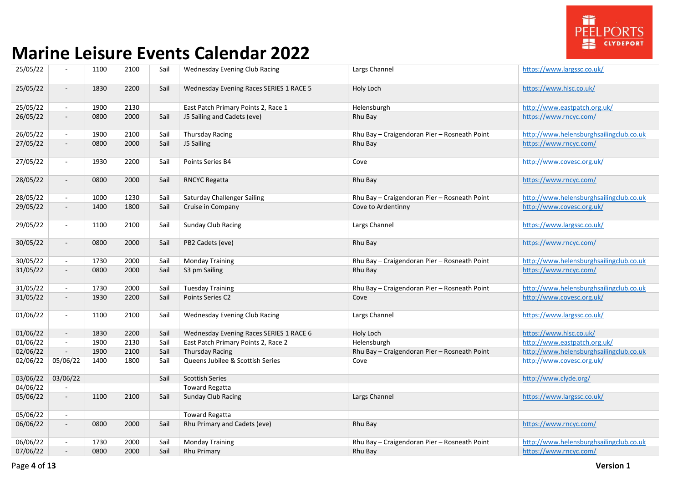

| 25/05/22 | $\overline{\phantom{a}}$    | 1100 | 2100 | Sail | Wednesday Evening Club Racing           | Largs Channel                                | https://www.largssc.co.uk/              |
|----------|-----------------------------|------|------|------|-----------------------------------------|----------------------------------------------|-----------------------------------------|
| 25/05/22 | $\sim$                      | 1830 | 2200 | Sail | Wednesday Evening Races SERIES 1 RACE 5 | Holy Loch                                    | https://www.hlsc.co.uk/                 |
| 25/05/22 | $\sim$                      | 1900 | 2130 |      | East Patch Primary Points 2, Race 1     | Helensburgh                                  | http://www.eastpatch.org.uk/            |
| 26/05/22 | $\overline{\phantom{a}}$    | 0800 | 2000 | Sail | J5 Sailing and Cadets (eve)             | Rhu Bay                                      | https://www.rncyc.com/                  |
| 26/05/22 | $\sim$                      | 1900 | 2100 | Sail | <b>Thursday Racing</b>                  | Rhu Bay - Craigendoran Pier - Rosneath Point | http://www.helensburghsailingclub.co.uk |
| 27/05/22 | $\sim$                      | 0800 | 2000 | Sail | J5 Sailing                              | Rhu Bay                                      | https://www.rncyc.com/                  |
| 27/05/22 | $\sim$                      | 1930 | 2200 | Sail | Points Series B4                        | Cove                                         | http://www.covesc.org.uk/               |
| 28/05/22 | $\sim$                      | 0800 | 2000 | Sail | <b>RNCYC Regatta</b>                    | Rhu Bay                                      | https://www.rncyc.com/                  |
| 28/05/22 | $\sim$                      | 1000 | 1230 | Sail | <b>Saturday Challenger Sailing</b>      | Rhu Bay - Craigendoran Pier - Rosneath Point | http://www.helensburghsailingclub.co.uk |
| 29/05/22 | $\sim$                      | 1400 | 1800 | Sail | Cruise in Company                       | Cove to Ardentinny                           | http://www.covesc.org.uk/               |
| 29/05/22 | $\sim$                      | 1100 | 2100 | Sail | Sunday Club Racing                      | Largs Channel                                | https://www.largssc.co.uk/              |
| 30/05/22 | $\sim$                      | 0800 | 2000 | Sail | PB2 Cadets (eve)                        | Rhu Bay                                      | https://www.rncyc.com/                  |
| 30/05/22 | $\sim$                      | 1730 | 2000 | Sail | <b>Monday Training</b>                  | Rhu Bay - Craigendoran Pier - Rosneath Point | http://www.helensburghsailingclub.co.uk |
| 31/05/22 | $\sim$                      | 0800 | 2000 | Sail | S3 pm Sailing                           | Rhu Bay                                      | https://www.rncyc.com/                  |
| 31/05/22 | $\sim$                      | 1730 | 2000 | Sail | <b>Tuesday Training</b>                 | Rhu Bay - Craigendoran Pier - Rosneath Point | http://www.helensburghsailingclub.co.uk |
| 31/05/22 | $\sim$                      | 1930 | 2200 | Sail | Points Series C2                        | Cove                                         | http://www.covesc.org.uk/               |
| 01/06/22 | $\blacksquare$              | 1100 | 2100 | Sail | <b>Wednesday Evening Club Racing</b>    | Largs Channel                                | https://www.largssc.co.uk/              |
| 01/06/22 | $\sim$                      | 1830 | 2200 | Sail | Wednesday Evening Races SERIES 1 RACE 6 | Holy Loch                                    | https://www.hlsc.co.uk/                 |
| 01/06/22 | $\mathcal{L}_{\mathcal{A}}$ | 1900 | 2130 | Sail | East Patch Primary Points 2, Race 2     | Helensburgh                                  | http://www.eastpatch.org.uk/            |
| 02/06/22 | $\sim$                      | 1900 | 2100 | Sail | <b>Thursday Racing</b>                  | Rhu Bay - Craigendoran Pier - Rosneath Point | http://www.helensburghsailingclub.co.uk |
| 02/06/22 | 05/06/22                    | 1400 | 1800 | Sail | Queens Jubilee & Scottish Series        | Cove                                         | http://www.covesc.org.uk/               |
| 03/06/22 | 03/06/22                    |      |      | Sail | <b>Scottish Series</b>                  |                                              | http://www.clyde.org/                   |
| 04/06/22 |                             |      |      |      | <b>Toward Regatta</b>                   |                                              |                                         |
| 05/06/22 | $\overline{\phantom{a}}$    | 1100 | 2100 | Sail | <b>Sunday Club Racing</b>               | Largs Channel                                | https://www.largssc.co.uk/              |
| 05/06/22 | $\sim$                      |      |      |      | <b>Toward Regatta</b>                   |                                              |                                         |
| 06/06/22 | $\sim$                      | 0800 | 2000 | Sail | Rhu Primary and Cadets (eve)            | Rhu Bay                                      | https://www.rncyc.com/                  |
| 06/06/22 | $\sim$                      | 1730 | 2000 | Sail | <b>Monday Training</b>                  | Rhu Bay - Craigendoran Pier - Rosneath Point | http://www.helensburghsailingclub.co.uk |
| 07/06/22 | $\overline{\phantom{a}}$    | 0800 | 2000 | Sail | Rhu Primary                             | Rhu Bay                                      | https://www.rncyc.com/                  |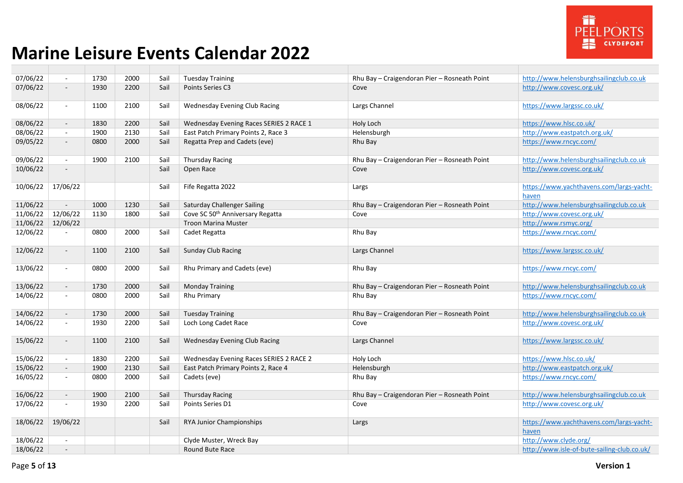

| 07/06/22 | $\sim$                      | 1730 | 2000 | Sail | <b>Tuesday Training</b>                 | Rhu Bay - Craigendoran Pier - Rosneath Point | http://www.helensburghsailingclub.co.uk           |
|----------|-----------------------------|------|------|------|-----------------------------------------|----------------------------------------------|---------------------------------------------------|
| 07/06/22 | $\blacksquare$              | 1930 | 2200 | Sail | Points Series C3                        | Cove                                         | http://www.covesc.org.uk/                         |
| 08/06/22 | $\blacksquare$              | 1100 | 2100 | Sail | <b>Wednesday Evening Club Racing</b>    | Largs Channel                                | https://www.largssc.co.uk/                        |
| 08/06/22 | $\sim$                      | 1830 | 2200 | Sail | Wednesday Evening Races SERIES 2 RACE 1 | Holy Loch                                    | https://www.hlsc.co.uk/                           |
| 08/06/22 | $\blacksquare$              | 1900 | 2130 | Sail | East Patch Primary Points 2, Race 3     | Helensburgh                                  | http://www.eastpatch.org.uk/                      |
| 09/05/22 | $\overline{\phantom{a}}$    | 0800 | 2000 | Sail | Regatta Prep and Cadets (eve)           | Rhu Bay                                      | https://www.rncyc.com/                            |
| 09/06/22 | $\mathcal{L}_{\mathcal{A}}$ | 1900 | 2100 | Sail | Thursday Racing                         | Rhu Bay - Craigendoran Pier - Rosneath Point | http://www.helensburghsailingclub.co.uk           |
| 10/06/22 | $\overline{\phantom{a}}$    |      |      | Sail | Open Race                               | Cove                                         | http://www.covesc.org.uk/                         |
| 10/06/22 | 17/06/22                    |      |      | Sail | Fife Regatta 2022                       | Largs                                        | https://www.yachthavens.com/largs-yacht-<br>haven |
| 11/06/22 | $\overline{\phantom{a}}$    | 1000 | 1230 | Sail | <b>Saturday Challenger Sailing</b>      | Rhu Bay - Craigendoran Pier - Rosneath Point | http://www.helensburghsailingclub.co.uk           |
| 11/06/22 | 12/06/22                    | 1130 | 1800 | Sail | Cove SC 50th Anniversary Regatta        | Cove                                         | http://www.covesc.org.uk/                         |
| 11/06/22 | 12/06/22                    |      |      |      | <b>Troon Marina Muster</b>              |                                              | http://www.rsmyc.org/                             |
| 12/06/22 | $\sim$                      | 0800 | 2000 | Sail | Cadet Regatta                           | Rhu Bay                                      | https://www.rncyc.com/                            |
| 12/06/22 | $\sim$                      | 1100 | 2100 | Sail | <b>Sunday Club Racing</b>               | Largs Channel                                | https://www.largssc.co.uk/                        |
| 13/06/22 | $\mathcal{L}_{\mathcal{A}}$ | 0800 | 2000 | Sail | Rhu Primary and Cadets (eve)            | Rhu Bay                                      | https://www.rncyc.com/                            |
| 13/06/22 | $\overline{\phantom{a}}$    | 1730 | 2000 | Sail | <b>Monday Training</b>                  | Rhu Bay - Craigendoran Pier - Rosneath Point | http://www.helensburghsailingclub.co.uk           |
| 14/06/22 | $\sim$                      | 0800 | 2000 | Sail | Rhu Primary                             | Rhu Bay                                      | https://www.rncyc.com/                            |
| 14/06/22 | $\sim$                      | 1730 | 2000 | Sail | <b>Tuesday Training</b>                 | Rhu Bay - Craigendoran Pier - Rosneath Point | http://www.helensburghsailingclub.co.uk           |
| 14/06/22 | $\blacksquare$              | 1930 | 2200 | Sail | Loch Long Cadet Race                    | Cove                                         | http://www.covesc.org.uk/                         |
| 15/06/22 | $\overline{\phantom{a}}$    | 1100 | 2100 | Sail | <b>Wednesday Evening Club Racing</b>    | Largs Channel                                | https://www.largssc.co.uk/                        |
| 15/06/22 | $\mathcal{L}_{\mathcal{A}}$ | 1830 | 2200 | Sail | Wednesday Evening Races SERIES 2 RACE 2 | Holy Loch                                    | https://www.hlsc.co.uk/                           |
| 15/06/22 | $\sim$                      | 1900 | 2130 | Sail | East Patch Primary Points 2, Race 4     | Helensburgh                                  | http://www.eastpatch.org.uk/                      |
| 16/05/22 | $\sim$                      | 0800 | 2000 | Sail | Cadets (eve)                            | Rhu Bay                                      | https://www.rncyc.com/                            |
| 16/06/22 | $\sim$                      | 1900 | 2100 | Sail | <b>Thursday Racing</b>                  | Rhu Bay - Craigendoran Pier - Rosneath Point | http://www.helensburghsailingclub.co.uk           |
| 17/06/22 | $\omega$                    | 1930 | 2200 | Sail | Points Series D1                        | Cove                                         | http://www.covesc.org.uk/                         |
| 18/06/22 | 19/06/22                    |      |      | Sail | RYA Junior Championships                | Largs                                        | https://www.yachthavens.com/largs-yacht-<br>haven |
| 18/06/22 | $\blacksquare$              |      |      |      | Clyde Muster, Wreck Bay                 |                                              | http://www.clyde.org/                             |
| 18/06/22 | $\overline{a}$              |      |      |      | Round Bute Race                         |                                              | http://www.isle-of-bute-sailing-club.co.uk/       |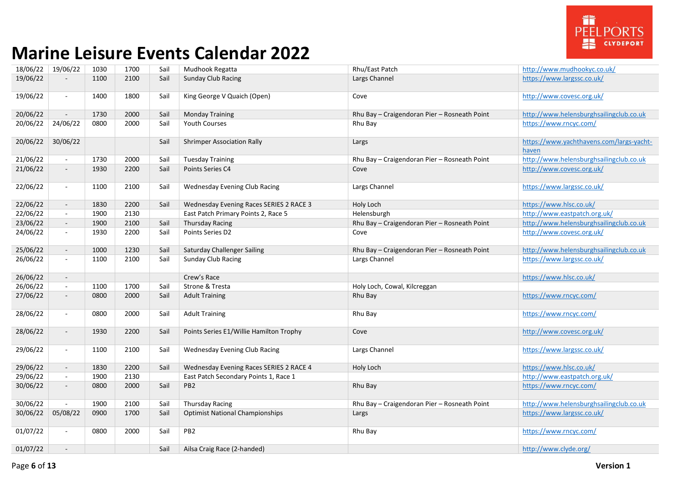

| 18/06/22 | 19/06/22                    | 1030 | 1700 | Sail | Mudhook Regatta                         | Rhu/East Patch                               | http://www.mudhookyc.co.uk/              |
|----------|-----------------------------|------|------|------|-----------------------------------------|----------------------------------------------|------------------------------------------|
| 19/06/22 |                             | 1100 | 2100 | Sail | <b>Sunday Club Racing</b>               | Largs Channel                                | https://www.largssc.co.uk/               |
|          |                             |      |      |      |                                         |                                              |                                          |
| 19/06/22 | $\blacksquare$              | 1400 | 1800 | Sail | King George V Quaich (Open)             | Cove                                         | http://www.covesc.org.uk/                |
|          |                             |      |      |      |                                         |                                              |                                          |
|          | $\omega$                    | 1730 | 2000 |      |                                         |                                              | http://www.helensburghsailingclub.co.uk  |
| 20/06/22 |                             |      |      | Sail | <b>Monday Training</b>                  | Rhu Bay - Craigendoran Pier - Rosneath Point |                                          |
| 20/06/22 | 24/06/22                    | 0800 | 2000 | Sail | <b>Youth Courses</b>                    | Rhu Bay                                      | https://www.rncyc.com/                   |
|          |                             |      |      |      |                                         |                                              |                                          |
| 20/06/22 | 30/06/22                    |      |      | Sail | <b>Shrimper Association Rally</b>       | Largs                                        | https://www.yachthavens.com/largs-yacht- |
|          |                             |      |      |      |                                         |                                              | haven                                    |
| 21/06/22 | $\sim$                      | 1730 | 2000 | Sail | <b>Tuesday Training</b>                 | Rhu Bay - Craigendoran Pier - Rosneath Point | http://www.helensburghsailingclub.co.uk  |
| 21/06/22 | $\overline{\phantom{a}}$    | 1930 | 2200 | Sail | Points Series C4                        | Cove                                         | http://www.covesc.org.uk/                |
|          |                             |      |      |      |                                         |                                              |                                          |
| 22/06/22 | $\blacksquare$              | 1100 | 2100 | Sail | <b>Wednesday Evening Club Racing</b>    | Largs Channel                                | https://www.largssc.co.uk/               |
|          |                             |      |      |      |                                         |                                              |                                          |
| 22/06/22 | $\mathcal{L}_{\mathcal{A}}$ | 1830 | 2200 | Sail | Wednesday Evening Races SERIES 2 RACE 3 | Holy Loch                                    | https://www.hlsc.co.uk/                  |
| 22/06/22 | $\sim$                      | 1900 | 2130 |      | East Patch Primary Points 2, Race 5     | Helensburgh                                  | http://www.eastpatch.org.uk/             |
| 23/06/22 | $\overline{\phantom{a}}$    | 1900 | 2100 | Sail | <b>Thursday Racing</b>                  | Rhu Bay - Craigendoran Pier - Rosneath Point | http://www.helensburghsailingclub.co.uk  |
| 24/06/22 | $\sim$                      | 1930 | 2200 | Sail | Points Series D2                        | Cove                                         | http://www.covesc.org.uk/                |
|          |                             |      |      |      |                                         |                                              |                                          |
| 25/06/22 | $\sim$                      | 1000 | 1230 | Sail | Saturday Challenger Sailing             | Rhu Bay - Craigendoran Pier - Rosneath Point | http://www.helensburghsailingclub.co.uk  |
| 26/06/22 | $\omega$                    | 1100 | 2100 | Sail | <b>Sunday Club Racing</b>               | Largs Channel                                | https://www.largssc.co.uk/               |
|          |                             |      |      |      |                                         |                                              |                                          |
| 26/06/22 | $\mathcal{L}_{\mathcal{A}}$ |      |      |      | Crew's Race                             |                                              | https://www.hlsc.co.uk/                  |
| 26/06/22 | $\sim$                      | 1100 | 1700 | Sail | Strone & Tresta                         | Holy Loch, Cowal, Kilcreggan                 |                                          |
| 27/06/22 | $\overline{\phantom{a}}$    | 0800 | 2000 | Sail | <b>Adult Training</b>                   | Rhu Bay                                      | https://www.rncyc.com/                   |
|          |                             |      |      |      |                                         |                                              |                                          |
|          |                             |      |      |      |                                         |                                              |                                          |
| 28/06/22 | $\blacksquare$              | 0800 | 2000 | Sail | <b>Adult Training</b>                   | Rhu Bay                                      | https://www.rncyc.com/                   |
|          |                             |      |      |      |                                         |                                              |                                          |
| 28/06/22 | $\overline{\phantom{a}}$    | 1930 | 2200 | Sail | Points Series E1/Willie Hamilton Trophy | Cove                                         | http://www.covesc.org.uk/                |
|          |                             |      |      |      |                                         |                                              |                                          |
| 29/06/22 | $\blacksquare$              | 1100 | 2100 | Sail | Wednesday Evening Club Racing           | Largs Channel                                | https://www.largssc.co.uk/               |
|          |                             |      |      |      |                                         |                                              |                                          |
| 29/06/22 | $\mathcal{L}_{\mathcal{A}}$ | 1830 | 2200 | Sail | Wednesday Evening Races SERIES 2 RACE 4 | Holy Loch                                    | https://www.hlsc.co.uk/                  |
| 29/06/22 | $\blacksquare$              | 1900 | 2130 |      | East Patch Secondary Points 1, Race 1   |                                              | http://www.eastpatch.org.uk/             |
| 30/06/22 | $\overline{\phantom{a}}$    | 0800 | 2000 | Sail | PB <sub>2</sub>                         | Rhu Bay                                      | https://www.rncyc.com/                   |
|          |                             |      |      |      |                                         |                                              |                                          |
| 30/06/22 |                             | 1900 | 2100 | Sail | <b>Thursday Racing</b>                  | Rhu Bay - Craigendoran Pier - Rosneath Point | http://www.helensburghsailingclub.co.uk  |
| 30/06/22 | 05/08/22                    | 0900 | 1700 | Sail | <b>Optimist National Championships</b>  | Largs                                        | https://www.largssc.co.uk/               |
|          |                             |      |      |      |                                         |                                              |                                          |
| 01/07/22 | $\blacksquare$              | 0800 | 2000 | Sail | PB <sub>2</sub>                         | Rhu Bay                                      | https://www.rncyc.com/                   |
|          |                             |      |      |      |                                         |                                              |                                          |
| 01/07/22 | $\blacksquare$              |      |      | Sail | Ailsa Craig Race (2-handed)             |                                              | http://www.clyde.org/                    |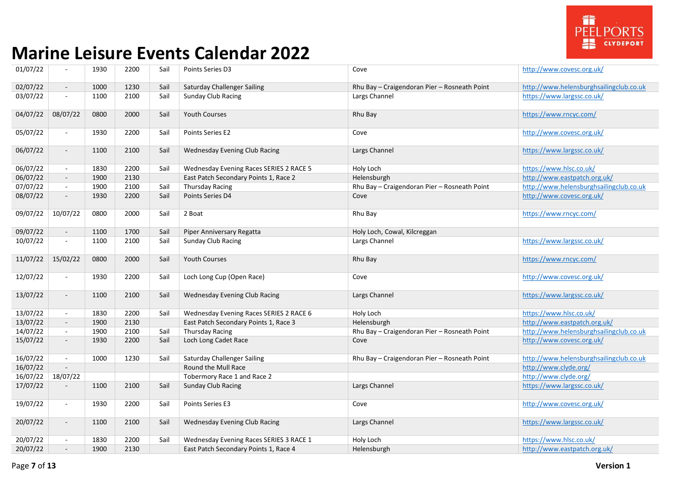

| 01/07/22 | $\sim$                   | 1930 | 2200 | Sail | Points Series D3                        | Cove                                         | http://www.covesc.org.uk/               |
|----------|--------------------------|------|------|------|-----------------------------------------|----------------------------------------------|-----------------------------------------|
| 02/07/22 | $\overline{\phantom{a}}$ | 1000 | 1230 | Sail | <b>Saturday Challenger Sailing</b>      | Rhu Bay - Craigendoran Pier - Rosneath Point | http://www.helensburghsailingclub.co.uk |
| 03/07/22 | $\blacksquare$           | 1100 | 2100 | Sail | <b>Sunday Club Racing</b>               | Largs Channel                                | https://www.largssc.co.uk/              |
| 04/07/22 | 08/07/22                 | 0800 | 2000 | Sail | Youth Courses                           | Rhu Bay                                      | https://www.rncyc.com/                  |
| 05/07/22 | $\bar{a}$                | 1930 | 2200 | Sail | Points Series E2                        | Cove                                         | http://www.covesc.org.uk/               |
| 06/07/22 | $\sim$                   | 1100 | 2100 | Sail | Wednesday Evening Club Racing           | Largs Channel                                | https://www.largssc.co.uk/              |
| 06/07/22 | $\blacksquare$           | 1830 | 2200 | Sail | Wednesday Evening Races SERIES 2 RACE 5 | Holy Loch                                    | https://www.hlsc.co.uk/                 |
| 06/07/22 | $\sim$                   | 1900 | 2130 |      | East Patch Secondary Points 1, Race 2   | Helensburgh                                  | http://www.eastpatch.org.uk/            |
| 07/07/22 | $\sim$                   | 1900 | 2100 | Sail | <b>Thursday Racing</b>                  | Rhu Bay - Craigendoran Pier - Rosneath Point | http://www.helensburghsailingclub.co.uk |
| 08/07/22 | $\overline{\phantom{a}}$ | 1930 | 2200 | Sail | Points Series D4                        | Cove                                         | http://www.covesc.org.uk/               |
| 09/07/22 | 10/07/22                 | 0800 | 2000 | Sail | 2 Boat                                  | Rhu Bay                                      | https://www.rncyc.com/                  |
| 09/07/22 | $\blacksquare$           | 1100 | 1700 | Sail | Piper Anniversary Regatta               | Holy Loch, Cowal, Kilcreggan                 |                                         |
| 10/07/22 | $\blacksquare$           | 1100 | 2100 | Sail | Sunday Club Racing                      | Largs Channel                                | https://www.largssc.co.uk/              |
| 11/07/22 | 15/02/22                 | 0800 | 2000 | Sail | <b>Youth Courses</b>                    | Rhu Bay                                      | https://www.rncyc.com/                  |
| 12/07/22 | $\sim$                   | 1930 | 2200 | Sail | Loch Long Cup (Open Race)               | Cove                                         | http://www.covesc.org.uk/               |
| 13/07/22 | $\omega$                 | 1100 | 2100 | Sail | Wednesday Evening Club Racing           | Largs Channel                                | https://www.largssc.co.uk/              |
| 13/07/22 | $\sim$                   | 1830 | 2200 | Sail | Wednesday Evening Races SERIES 2 RACE 6 | Holy Loch                                    | https://www.hlsc.co.uk/                 |
| 13/07/22 | $\sim$                   | 1900 | 2130 |      | East Patch Secondary Points 1, Race 3   | Helensburgh                                  | http://www.eastpatch.org.uk/            |
| 14/07/22 | $\sim$                   | 1900 | 2100 | Sail | <b>Thursday Racing</b>                  | Rhu Bay - Craigendoran Pier - Rosneath Point | http://www.helensburghsailingclub.co.uk |
| 15/07/22 | $\overline{\phantom{a}}$ | 1930 | 2200 | Sail | Loch Long Cadet Race                    | Cove                                         | http://www.covesc.org.uk/               |
| 16/07/22 | $\blacksquare$           | 1000 | 1230 | Sail | <b>Saturday Challenger Sailing</b>      | Rhu Bay - Craigendoran Pier - Rosneath Point | http://www.helensburghsailingclub.co.uk |
| 16/07/22 |                          |      |      |      | Round the Mull Race                     |                                              | http://www.clyde.org/                   |
| 16/07/22 | 18/07/22                 |      |      |      | Tobermory Race 1 and Race 2             |                                              | http://www.clyde.org/                   |
| 17/07/22 | $\blacksquare$           | 1100 | 2100 | Sail | <b>Sunday Club Racing</b>               | Largs Channel                                | https://www.largssc.co.uk/              |
| 19/07/22 | $\sim$                   | 1930 | 2200 | Sail | Points Series E3                        | Cove                                         | http://www.covesc.org.uk/               |
| 20/07/22 | $\overline{\phantom{a}}$ | 1100 | 2100 | Sail | Wednesday Evening Club Racing           | Largs Channel                                | https://www.largssc.co.uk/              |
| 20/07/22 | $\sim$                   | 1830 | 2200 | Sail | Wednesday Evening Races SERIES 3 RACE 1 | Holy Loch                                    | https://www.hlsc.co.uk/                 |
| 20/07/22 | $\blacksquare$           | 1900 | 2130 |      | East Patch Secondary Points 1, Race 4   | Helensburgh                                  | http://www.eastpatch.org.uk/            |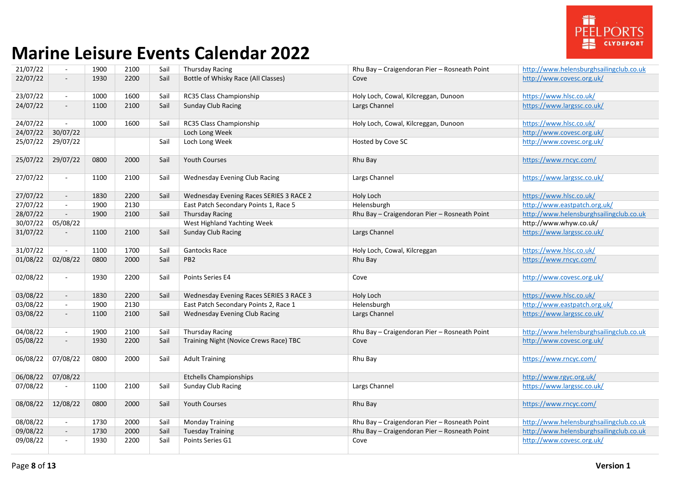

| 21/07/22 | $\mathbb{Z}^2$              | 1900 | 2100 | Sail | <b>Thursday Racing</b>                  | Rhu Bay - Craigendoran Pier - Rosneath Point | http://www.helensburghsailingclub.co.uk |
|----------|-----------------------------|------|------|------|-----------------------------------------|----------------------------------------------|-----------------------------------------|
| 22/07/22 | $\blacksquare$              | 1930 | 2200 | Sail | Bottle of Whisky Race (All Classes)     | Cove                                         | http://www.covesc.org.uk/               |
| 23/07/22 | $\blacksquare$              | 1000 | 1600 | Sail | RC35 Class Championship                 | Holy Loch, Cowal, Kilcreggan, Dunoon         | https://www.hlsc.co.uk/                 |
| 24/07/22 | $\overline{\phantom{a}}$    | 1100 | 2100 | Sail | <b>Sunday Club Racing</b>               | Largs Channel                                | https://www.largssc.co.uk/              |
| 24/07/22 | $\blacksquare$              | 1000 | 1600 | Sail | RC35 Class Championship                 | Holy Loch, Cowal, Kilcreggan, Dunoon         | https://www.hlsc.co.uk/                 |
| 24/07/22 | 30/07/22                    |      |      |      | Loch Long Week                          |                                              | http://www.covesc.org.uk/               |
| 25/07/22 | 29/07/22                    |      |      | Sail | Loch Long Week                          | Hosted by Cove SC                            | http://www.covesc.org.uk/               |
| 25/07/22 | 29/07/22                    | 0800 | 2000 | Sail | <b>Youth Courses</b>                    | Rhu Bay                                      | https://www.rncyc.com/                  |
| 27/07/22 | $\blacksquare$              | 1100 | 2100 | Sail | Wednesday Evening Club Racing           | Largs Channel                                | https://www.largssc.co.uk/              |
| 27/07/22 | $\overline{\phantom{a}}$    | 1830 | 2200 | Sail | Wednesday Evening Races SERIES 3 RACE 2 | Holy Loch                                    | https://www.hlsc.co.uk/                 |
| 27/07/22 | $\sim$                      | 1900 | 2130 |      | East Patch Secondary Points 1, Race 5   | Helensburgh                                  | http://www.eastpatch.org.uk/            |
| 28/07/22 | $\overline{\phantom{a}}$    | 1900 | 2100 | Sail | <b>Thursday Racing</b>                  | Rhu Bay - Craigendoran Pier - Rosneath Point | http://www.helensburghsailingclub.co.uk |
| 30/07/22 | 05/08/22                    |      |      |      | West Highland Yachting Week             |                                              | http://www.whyw.co.uk/                  |
| 31/07/22 | $\overline{\phantom{a}}$    | 1100 | 2100 | Sail | <b>Sunday Club Racing</b>               | Largs Channel                                | https://www.largssc.co.uk/              |
| 31/07/22 | $\blacksquare$              | 1100 | 1700 | Sail | <b>Gantocks Race</b>                    | Holy Loch, Cowal, Kilcreggan                 | https://www.hlsc.co.uk/                 |
| 01/08/22 | 02/08/22                    | 0800 | 2000 | Sail | PB <sub>2</sub>                         | Rhu Bay                                      | https://www.rncyc.com/                  |
| 02/08/22 | $\blacksquare$              | 1930 | 2200 | Sail | Points Series E4                        | Cove                                         | http://www.covesc.org.uk/               |
| 03/08/22 | $\overline{\phantom{a}}$    | 1830 | 2200 | Sail | Wednesday Evening Races SERIES 3 RACE 3 | Holy Loch                                    | https://www.hlsc.co.uk/                 |
| 03/08/22 | $\blacksquare$              | 1900 | 2130 |      | East Patch Secondary Points 2, Race 1   | Helensburgh                                  | http://www.eastpatch.org.uk/            |
| 03/08/22 | $\overline{\phantom{a}}$    | 1100 | 2100 | Sail | <b>Wednesday Evening Club Racing</b>    | Largs Channel                                | https://www.largssc.co.uk/              |
| 04/08/22 | $\mathcal{L}_{\mathcal{A}}$ | 1900 | 2100 | Sail | <b>Thursday Racing</b>                  | Rhu Bay - Craigendoran Pier - Rosneath Point | http://www.helensburghsailingclub.co.uk |
| 05/08/22 | $\overline{\phantom{a}}$    | 1930 | 2200 | Sail | Training Night (Novice Crews Race) TBC  | Cove                                         | http://www.covesc.org.uk/               |
| 06/08/22 | 07/08/22                    | 0800 | 2000 | Sail | <b>Adult Training</b>                   | Rhu Bay                                      | https://www.rncyc.com/                  |
| 06/08/22 | 07/08/22                    |      |      |      | <b>Etchells Championships</b>           |                                              | http://www.rgyc.org.uk/                 |
| 07/08/22 |                             | 1100 | 2100 | Sail | <b>Sunday Club Racing</b>               | Largs Channel                                | https://www.largssc.co.uk/              |
| 08/08/22 | 12/08/22                    | 0800 | 2000 | Sail | <b>Youth Courses</b>                    | Rhu Bay                                      | https://www.rncyc.com/                  |
| 08/08/22 | $\mathcal{L}_{\mathcal{A}}$ | 1730 | 2000 | Sail | <b>Monday Training</b>                  | Rhu Bay - Craigendoran Pier - Rosneath Point | http://www.helensburghsailingclub.co.uk |
| 09/08/22 | $\overline{\phantom{a}}$    | 1730 | 2000 | Sail | <b>Tuesday Training</b>                 | Rhu Bay - Craigendoran Pier - Rosneath Point | http://www.helensburghsailingclub.co.uk |
| 09/08/22 | $\blacksquare$              | 1930 | 2200 | Sail | Points Series G1                        | Cove                                         | http://www.covesc.org.uk/               |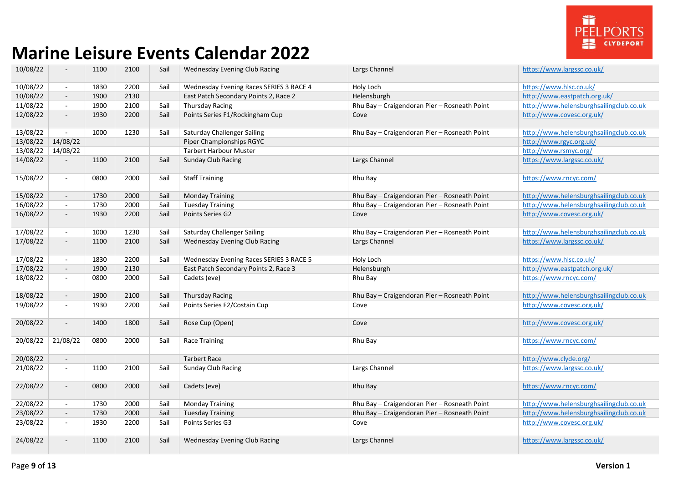

| 10/08/22 | $\blacksquare$           | 1100 | 2100 | Sail | Wednesday Evening Club Racing           | Largs Channel                                | https://www.largssc.co.uk/              |
|----------|--------------------------|------|------|------|-----------------------------------------|----------------------------------------------|-----------------------------------------|
| 10/08/22 | $\sim$                   | 1830 | 2200 | Sail | Wednesday Evening Races SERIES 3 RACE 4 | Holy Loch                                    | https://www.hlsc.co.uk/                 |
| 10/08/22 | $\sim$                   | 1900 | 2130 |      | East Patch Secondary Points 2, Race 2   | Helensburgh                                  | http://www.eastpatch.org.uk/            |
| 11/08/22 | $\sim$                   | 1900 | 2100 | Sail | <b>Thursday Racing</b>                  | Rhu Bay - Craigendoran Pier - Rosneath Point | http://www.helensburghsailingclub.co.uk |
| 12/08/22 | $\sim$                   | 1930 | 2200 | Sail | Points Series F1/Rockingham Cup         | Cove                                         | http://www.covesc.org.uk/               |
|          |                          |      |      |      |                                         |                                              |                                         |
| 13/08/22 | $\blacksquare$           | 1000 | 1230 | Sail | Saturday Challenger Sailing             | Rhu Bay - Craigendoran Pier - Rosneath Point | http://www.helensburghsailingclub.co.uk |
| 13/08/22 | 14/08/22                 |      |      |      | Piper Championships RGYC                |                                              | http://www.rgyc.org.uk/                 |
| 13/08/22 | 14/08/22                 |      |      |      | <b>Tarbert Harbour Muster</b>           |                                              | http://www.rsmyc.org/                   |
| 14/08/22 | $\overline{\phantom{a}}$ | 1100 | 2100 | Sail | <b>Sunday Club Racing</b>               | Largs Channel                                | https://www.largssc.co.uk/              |
|          |                          |      |      |      |                                         |                                              |                                         |
| 15/08/22 | $\sim$                   | 0800 | 2000 | Sail | <b>Staff Training</b>                   | Rhu Bay                                      | https://www.rncyc.com/                  |
| 15/08/22 | $\sim$                   | 1730 | 2000 | Sail | <b>Monday Training</b>                  | Rhu Bay - Craigendoran Pier - Rosneath Point | http://www.helensburghsailingclub.co.uk |
| 16/08/22 | $\sim$                   | 1730 | 2000 | Sail | <b>Tuesday Training</b>                 | Rhu Bay - Craigendoran Pier - Rosneath Point | http://www.helensburghsailingclub.co.uk |
| 16/08/22 | $\sim$                   | 1930 | 2200 | Sail | Points Series G2                        | Cove                                         | http://www.covesc.org.uk/               |
|          |                          |      |      |      |                                         |                                              |                                         |
| 17/08/22 | $\sim$                   | 1000 | 1230 | Sail | Saturday Challenger Sailing             | Rhu Bay - Craigendoran Pier - Rosneath Point | http://www.helensburghsailingclub.co.uk |
| 17/08/22 | $\overline{\phantom{a}}$ | 1100 | 2100 | Sail | Wednesday Evening Club Racing           | Largs Channel                                | https://www.largssc.co.uk/              |
|          |                          |      |      |      |                                         |                                              |                                         |
| 17/08/22 | $\sim$                   | 1830 | 2200 | Sail | Wednesday Evening Races SERIES 3 RACE 5 | Holy Loch                                    | https://www.hlsc.co.uk/                 |
| 17/08/22 | $\sim$                   | 1900 | 2130 |      | East Patch Secondary Points 2, Race 3   | Helensburgh                                  | http://www.eastpatch.org.uk/            |
| 18/08/22 | $\sim$                   | 0800 | 2000 | Sail | Cadets (eve)                            | Rhu Bay                                      | https://www.rncyc.com/                  |
| 18/08/22 | $\sim$                   | 1900 | 2100 | Sail | <b>Thursday Racing</b>                  | Rhu Bay - Craigendoran Pier - Rosneath Point | http://www.helensburghsailingclub.co.uk |
| 19/08/22 | $\blacksquare$           | 1930 | 2200 | Sail | Points Series F2/Costain Cup            |                                              | http://www.covesc.org.uk/               |
|          |                          |      |      |      |                                         | Cove                                         |                                         |
| 20/08/22 | $\sim$                   | 1400 | 1800 | Sail | Rose Cup (Open)                         | Cove                                         | http://www.covesc.org.uk/               |
|          |                          |      |      |      |                                         |                                              |                                         |
| 20/08/22 | 21/08/22                 | 0800 | 2000 | Sail | <b>Race Training</b>                    | Rhu Bay                                      | https://www.rncyc.com/                  |
|          |                          |      |      |      |                                         |                                              |                                         |
| 20/08/22 | $\sim$                   |      |      |      | <b>Tarbert Race</b>                     |                                              | http://www.clyde.org/                   |
| 21/08/22 | $\sim$                   | 1100 | 2100 | Sail | <b>Sunday Club Racing</b>               | Largs Channel                                | https://www.largssc.co.uk/              |
|          |                          |      |      |      |                                         |                                              |                                         |
| 22/08/22 | $\overline{\phantom{a}}$ | 0800 | 2000 | Sail | Cadets (eve)                            | Rhu Bay                                      | https://www.rncyc.com/                  |
| 22/08/22 | $\sim$                   | 1730 | 2000 | Sail | <b>Monday Training</b>                  | Rhu Bay - Craigendoran Pier - Rosneath Point | http://www.helensburghsailingclub.co.uk |
| 23/08/22 | $\sim$                   | 1730 | 2000 | Sail | <b>Tuesday Training</b>                 | Rhu Bay - Craigendoran Pier - Rosneath Point | http://www.helensburghsailingclub.co.uk |
| 23/08/22 | $\sim$                   | 1930 | 2200 | Sail | Points Series G3                        | Cove                                         | http://www.covesc.org.uk/               |
|          |                          |      |      |      |                                         |                                              |                                         |
| 24/08/22 | $\overline{\phantom{a}}$ | 1100 | 2100 | Sail | <b>Wednesday Evening Club Racing</b>    | Largs Channel                                | https://www.largssc.co.uk/              |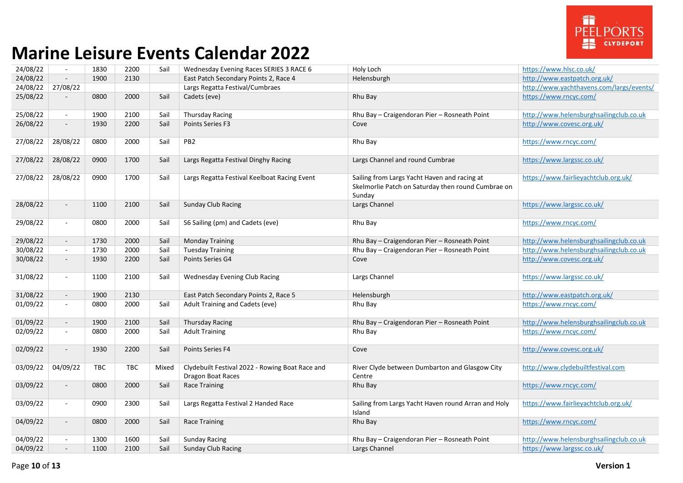

| 24/08/22 | $\sim$                   | 1830       | 2200 | Sail  | Wednesday Evening Races SERIES 3 RACE 6                              | Holy Loch                                                                                                    | https://www.hlsc.co.uk/                  |
|----------|--------------------------|------------|------|-------|----------------------------------------------------------------------|--------------------------------------------------------------------------------------------------------------|------------------------------------------|
| 24/08/22 | $\sim$                   | 1900       | 2130 |       | East Patch Secondary Points 2, Race 4                                | Helensburgh                                                                                                  | http://www.eastpatch.org.uk/             |
| 24/08/22 | 27/08/22                 |            |      |       | Largs Regatta Festival/Cumbraes                                      |                                                                                                              | http://www.vachthavens.com/largs/events/ |
| 25/08/22 |                          | 0800       | 2000 | Sail  | Cadets (eve)                                                         | Rhu Bay                                                                                                      | https://www.rncvc.com/                   |
| 25/08/22 | $\blacksquare$           | 1900       | 2100 | Sail  | <b>Thursday Racing</b>                                               | Rhu Bay - Craigendoran Pier - Rosneath Point                                                                 | http://www.helensburghsailingclub.co.uk  |
| 26/08/22 | $\overline{\phantom{a}}$ | 1930       | 2200 | Sail  | Points Series F3                                                     | Cove                                                                                                         | http://www.covesc.org.uk/                |
| 27/08/22 | 28/08/22                 | 0800       | 2000 | Sail  | PB <sub>2</sub>                                                      | Rhu Bay                                                                                                      | https://www.rncyc.com/                   |
| 27/08/22 | 28/08/22                 | 0900       | 1700 | Sail  | Largs Regatta Festival Dinghy Racing                                 | Largs Channel and round Cumbrae                                                                              | https://www.largssc.co.uk/               |
| 27/08/22 | 28/08/22                 | 0900       | 1700 | Sail  | Largs Regatta Festival Keelboat Racing Event                         | Sailing from Largs Yacht Haven and racing at<br>Skelmorlie Patch on Saturday then round Cumbrae on<br>Sunday | https://www.fairlieyachtclub.org.uk/     |
| 28/08/22 | $\overline{\phantom{a}}$ | 1100       | 2100 | Sail  | <b>Sunday Club Racing</b>                                            | Largs Channel                                                                                                | https://www.largssc.co.uk/               |
| 29/08/22 | $\blacksquare$           | 0800       | 2000 | Sail  | S6 Sailing (pm) and Cadets (eve)                                     | Rhu Bay                                                                                                      | https://www.rncyc.com/                   |
| 29/08/22 | $\blacksquare$           | 1730       | 2000 | Sail  | <b>Monday Training</b>                                               | Rhu Bay - Craigendoran Pier - Rosneath Point                                                                 | http://www.helensburghsailingclub.co.uk  |
| 30/08/22 | $\blacksquare$           | 1730       | 2000 | Sail  | <b>Tuesday Training</b>                                              | Rhu Bay - Craigendoran Pier - Rosneath Point                                                                 | http://www.helensburghsailingclub.co.uk  |
| 30/08/22 | $\overline{\phantom{a}}$ | 1930       | 2200 | Sail  | Points Series G4                                                     | Cove                                                                                                         | http://www.covesc.org.uk/                |
| 31/08/22 | $\blacksquare$           | 1100       | 2100 | Sail  | Wednesday Evening Club Racing                                        | Largs Channel                                                                                                | https://www.largssc.co.uk/               |
| 31/08/22 | $\sim$                   | 1900       | 2130 |       | East Patch Secondary Points 2, Race 5                                | Helensburgh                                                                                                  | http://www.eastpatch.org.uk/             |
| 01/09/22 | $\sim$                   | 0800       | 2000 | Sail  | Adult Training and Cadets (eve)                                      | Rhu Bay                                                                                                      | https://www.rncyc.com/                   |
| 01/09/22 | $\blacksquare$           | 1900       | 2100 | Sail  | <b>Thursday Racing</b>                                               | Rhu Bay - Craigendoran Pier - Rosneath Point                                                                 | http://www.helensburghsailingclub.co.uk  |
| 02/09/22 | $\blacksquare$           | 0800       | 2000 | Sail  | <b>Adult Training</b>                                                | Rhu Bay                                                                                                      | https://www.rncyc.com/                   |
| 02/09/22 | $\blacksquare$           | 1930       | 2200 | Sail  | <b>Points Series F4</b>                                              | Cove                                                                                                         | http://www.covesc.org.uk/                |
| 03/09/22 | 04/09/22                 | <b>TBC</b> | TBC  | Mixed | Clydebuilt Festival 2022 - Rowing Boat Race and<br>Dragon Boat Races | River Clyde between Dumbarton and Glasgow City<br>Centre                                                     | http://www.clydebuiltfestival.com        |
| 03/09/22 | $\sim$                   | 0800       | 2000 | Sail  | Race Training                                                        | Rhu Bay                                                                                                      | https://www.rncyc.com/                   |
| 03/09/22 | $\blacksquare$           | 0900       | 2300 | Sail  | Largs Regatta Festival 2 Handed Race                                 | Sailing from Largs Yacht Haven round Arran and Holy<br>Island                                                | https://www.fairlieyachtclub.org.uk/     |
| 04/09/22 | $\overline{\phantom{a}}$ | 0800       | 2000 | Sail  | Race Training                                                        | Rhu Bay                                                                                                      | https://www.rncyc.com/                   |
| 04/09/22 | $\sim$                   | 1300       | 1600 | Sail  | <b>Sunday Racing</b>                                                 | Rhu Bay - Craigendoran Pier - Rosneath Point                                                                 | http://www.helensburghsailingclub.co.uk  |
| 04/09/22 |                          | 1100       | 2100 | Sail  | <b>Sunday Club Racing</b>                                            | Largs Channel                                                                                                | https://www.largssc.co.uk/               |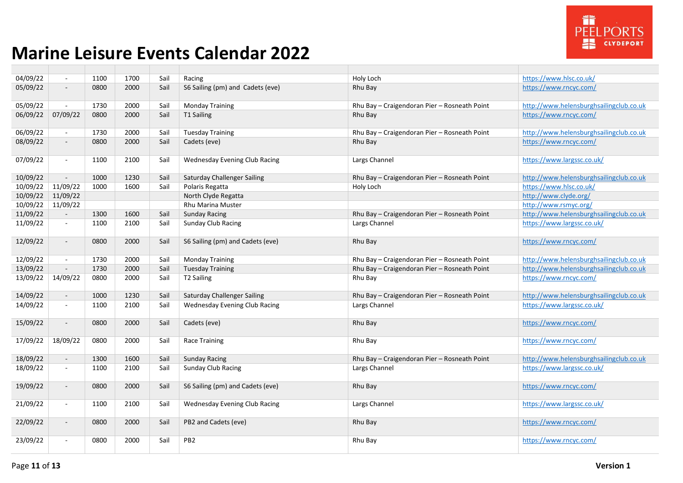

| 04/09/22 | $\sim$                      | 1100 | 1700 | Sail | Racing                               | Holy Loch                                    | https://www.hlsc.co.uk/                 |
|----------|-----------------------------|------|------|------|--------------------------------------|----------------------------------------------|-----------------------------------------|
| 05/09/22 | $\blacksquare$              | 0800 | 2000 | Sail | S6 Sailing (pm) and Cadets (eve)     | Rhu Bay                                      | https://www.rncyc.com/                  |
| 05/09/22 | $\blacksquare$              | 1730 | 2000 | Sail | <b>Monday Training</b>               | Rhu Bay - Craigendoran Pier - Rosneath Point | http://www.helensburghsailingclub.co.uk |
| 06/09/22 | 07/09/22                    | 0800 | 2000 | Sail | T1 Sailing                           | Rhu Bay                                      | https://www.rncyc.com/                  |
| 06/09/22 | $\mathbf{u}$                | 1730 | 2000 | Sail | <b>Tuesday Training</b>              | Rhu Bay - Craigendoran Pier - Rosneath Point | http://www.helensburghsailingclub.co.uk |
| 08/09/22 | $\overline{\phantom{a}}$    | 0800 | 2000 | Sail | Cadets (eve)                         | Rhu Bay                                      | https://www.rncyc.com/                  |
| 07/09/22 | $\blacksquare$              | 1100 | 2100 | Sail | Wednesday Evening Club Racing        | Largs Channel                                | https://www.largssc.co.uk/              |
| 10/09/22 | $\blacksquare$              | 1000 | 1230 | Sail | <b>Saturday Challenger Sailing</b>   | Rhu Bay - Craigendoran Pier - Rosneath Point | http://www.helensburghsailingclub.co.uk |
| 10/09/22 | 11/09/22                    | 1000 | 1600 | Sail | Polaris Regatta                      | Holy Loch                                    | https://www.hlsc.co.uk/                 |
| 10/09/22 | 11/09/22                    |      |      |      | North Clyde Regatta                  |                                              | http://www.clyde.org/                   |
| 10/09/22 | 11/09/22                    |      |      |      | Rhu Marina Muster                    |                                              | http://www.rsmyc.org/                   |
| 11/09/22 | $\omega$                    | 1300 | 1600 | Sail | <b>Sunday Racing</b>                 | Rhu Bay - Craigendoran Pier - Rosneath Point | http://www.helensburghsailingclub.co.uk |
| 11/09/22 | $\mathcal{L}_{\mathcal{A}}$ | 1100 | 2100 | Sail | <b>Sunday Club Racing</b>            | Largs Channel                                | https://www.largssc.co.uk/              |
| 12/09/22 | $\sim$                      | 0800 | 2000 | Sail | S6 Sailing (pm) and Cadets (eve)     | Rhu Bay                                      | https://www.rncyc.com/                  |
| 12/09/22 | $\sim$                      | 1730 | 2000 | Sail | <b>Monday Training</b>               | Rhu Bay - Craigendoran Pier - Rosneath Point | http://www.helensburghsailingclub.co.uk |
| 13/09/22 | $\sim$                      | 1730 | 2000 | Sail | <b>Tuesday Training</b>              | Rhu Bay - Craigendoran Pier - Rosneath Point | http://www.helensburghsailingclub.co.uk |
| 13/09/22 | 14/09/22                    | 0800 | 2000 | Sail | T2 Sailing                           | Rhu Bay                                      | https://www.rncyc.com/                  |
| 14/09/22 | $\sim$                      | 1000 | 1230 | Sail | <b>Saturday Challenger Sailing</b>   | Rhu Bay - Craigendoran Pier - Rosneath Point | http://www.helensburghsailingclub.co.uk |
| 14/09/22 | $\mathbf{u}$                | 1100 | 2100 | Sail | Wednesday Evening Club Racing        | Largs Channel                                | https://www.largssc.co.uk/              |
| 15/09/22 | $\sim$                      | 0800 | 2000 | Sail | Cadets (eve)                         | Rhu Bay                                      | https://www.rncyc.com/                  |
| 17/09/22 | 18/09/22                    | 0800 | 2000 | Sail | <b>Race Training</b>                 | Rhu Bay                                      | https://www.rncyc.com/                  |
| 18/09/22 | $\sim$                      | 1300 | 1600 | Sail | <b>Sunday Racing</b>                 | Rhu Bay - Craigendoran Pier - Rosneath Point | http://www.helensburghsailingclub.co.uk |
| 18/09/22 | $\blacksquare$              | 1100 | 2100 | Sail | <b>Sunday Club Racing</b>            | Largs Channel                                | https://www.largssc.co.uk/              |
| 19/09/22 | $\blacksquare$              | 0800 | 2000 | Sail | S6 Sailing (pm) and Cadets (eve)     | Rhu Bay                                      | https://www.rncyc.com/                  |
| 21/09/22 | $\omega$                    | 1100 | 2100 | Sail | <b>Wednesday Evening Club Racing</b> | Largs Channel                                | https://www.largssc.co.uk/              |
| 22/09/22 | $\overline{\phantom{a}}$    | 0800 | 2000 | Sail | PB2 and Cadets (eve)                 | Rhu Bay                                      | https://www.rncyc.com/                  |
| 23/09/22 | $\omega$                    | 0800 | 2000 | Sail | PB <sub>2</sub>                      | Rhu Bay                                      | https://www.rncyc.com/                  |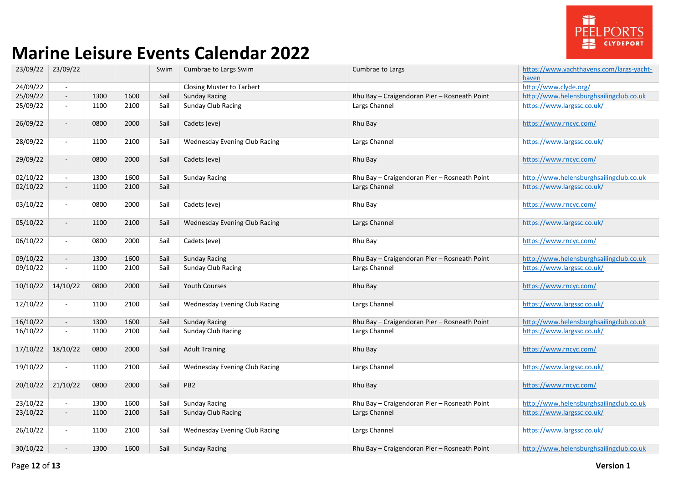

| 23/09/22 | 23/09/22                 |      |      | Swim | Cumbrae to Largs Swim                | Cumbrae to Largs                             | https://www.yachthavens.com/largs-yacht-<br>haven |
|----------|--------------------------|------|------|------|--------------------------------------|----------------------------------------------|---------------------------------------------------|
| 24/09/22 | $\sim$                   |      |      |      | Closing Muster to Tarbert            |                                              | http://www.clyde.org/                             |
| 25/09/22 | $\overline{\phantom{a}}$ | 1300 | 1600 | Sail | <b>Sunday Racing</b>                 | Rhu Bay - Craigendoran Pier - Rosneath Point | http://www.helensburghsailingclub.co.uk           |
| 25/09/22 | $\overline{\phantom{a}}$ | 1100 | 2100 | Sail | <b>Sunday Club Racing</b>            | Largs Channel                                | https://www.largssc.co.uk/                        |
| 26/09/22 | $\blacksquare$           | 0800 | 2000 | Sail | Cadets (eve)                         | Rhu Bay                                      | https://www.rncyc.com/                            |
| 28/09/22 | $\sim$                   | 1100 | 2100 | Sail | <b>Wednesday Evening Club Racing</b> | Largs Channel                                | https://www.largssc.co.uk/                        |
| 29/09/22 | $\blacksquare$           | 0800 | 2000 | Sail | Cadets (eve)                         | Rhu Bay                                      | https://www.rncyc.com/                            |
| 02/10/22 | $\blacksquare$           | 1300 | 1600 | Sail | <b>Sunday Racing</b>                 | Rhu Bay - Craigendoran Pier - Rosneath Point | http://www.helensburghsailingclub.co.uk           |
| 02/10/22 | $\blacksquare$           | 1100 | 2100 | Sail |                                      | Largs Channel                                | https://www.largssc.co.uk/                        |
| 03/10/22 | $\sim$                   | 0800 | 2000 | Sail | Cadets (eve)                         | Rhu Bay                                      | https://www.rncyc.com/                            |
| 05/10/22 | $\blacksquare$           | 1100 | 2100 | Sail | <b>Wednesday Evening Club Racing</b> | Largs Channel                                | https://www.largssc.co.uk/                        |
| 06/10/22 | $\blacksquare$           | 0800 | 2000 | Sail | Cadets (eve)                         | Rhu Bay                                      | https://www.rncyc.com/                            |
| 09/10/22 | $\overline{\phantom{a}}$ | 1300 | 1600 | Sail | <b>Sunday Racing</b>                 | Rhu Bay - Craigendoran Pier - Rosneath Point | http://www.helensburghsailingclub.co.uk           |
| 09/10/22 | $\overline{\phantom{a}}$ | 1100 | 2100 | Sail | <b>Sunday Club Racing</b>            | Largs Channel                                | https://www.largssc.co.uk/                        |
| 10/10/22 | 14/10/22                 | 0800 | 2000 | Sail | <b>Youth Courses</b>                 | Rhu Bay                                      | https://www.rncyc.com/                            |
| 12/10/22 | $\blacksquare$           | 1100 | 2100 | Sail | <b>Wednesday Evening Club Racing</b> | Largs Channel                                | https://www.largssc.co.uk/                        |
| 16/10/22 | $\overline{\phantom{a}}$ | 1300 | 1600 | Sail | <b>Sunday Racing</b>                 | Rhu Bay - Craigendoran Pier - Rosneath Point | http://www.helensburghsailingclub.co.uk           |
| 16/10/22 | $\sim$                   | 1100 | 2100 | Sail | <b>Sunday Club Racing</b>            | Largs Channel                                | https://www.largssc.co.uk/                        |
| 17/10/22 | 18/10/22                 | 0800 | 2000 | Sail | <b>Adult Training</b>                | Rhu Bay                                      | https://www.rncyc.com/                            |
| 19/10/22 | $\blacksquare$           | 1100 | 2100 | Sail | Wednesday Evening Club Racing        | Largs Channel                                | https://www.largssc.co.uk/                        |
| 20/10/22 | 21/10/22                 | 0800 | 2000 | Sail | PB <sub>2</sub>                      | Rhu Bay                                      | https://www.rncyc.com/                            |
| 23/10/22 | $\sim$                   | 1300 | 1600 | Sail | <b>Sunday Racing</b>                 | Rhu Bay - Craigendoran Pier - Rosneath Point | http://www.helensburghsailingclub.co.uk           |
| 23/10/22 | $\overline{\phantom{a}}$ | 1100 | 2100 | Sail | <b>Sunday Club Racing</b>            | Largs Channel                                | https://www.largssc.co.uk/                        |
| 26/10/22 | $\blacksquare$           | 1100 | 2100 | Sail | <b>Wednesday Evening Club Racing</b> | Largs Channel                                | https://www.largssc.co.uk/                        |
| 30/10/22 | $\blacksquare$           | 1300 | 1600 | Sail | <b>Sunday Racing</b>                 | Rhu Bay - Craigendoran Pier - Rosneath Point | http://www.helensburghsailingclub.co.uk           |